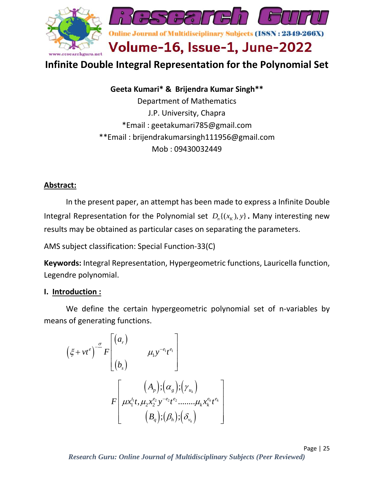

# **Infinite Double Integral Representation for the Polynomial Set**

**Geeta Kumari\* & Brijendra Kumar Singh\*\*** Department of Mathematics J.P. University, Chapra \*Email : [geetakumari785@gmail.com](mailto:geetakumari785@gmail.com) \*\*Email : [brijendrakumarsingh111956@gmail.com](mailto:brijendrakumarsingh111956@gmail.com) Mob : 09430032449

## **Abstract:**

In the present paper, an attempt has been made to express a Infinite Double Integral Representation for the Polynomial set  $D_n\{(x_K),y\}$ . Many interesting new results may be obtained as particular cases on separating the parameters.

AMS subject classification: Special Function-33(C)

**Keywords:** Integral Representation, Hypergeometric functions, Lauricella function, Legendre polynomial.

#### **I. Introduction :**

We define the certain hypergeometric polynomial set of n-variables by means of generating functions.

$$
(\xi + vt^e)^{-\frac{\sigma}{\sigma}} F\begin{bmatrix} (a_r) & & & \\ & (\mu_1 y^{-e_1} t^{e_1} \\ & & (b_s) \end{bmatrix}
$$

$$
F\begin{bmatrix} (A_p); (\alpha_g); (\gamma_{u_k}) \\ \mu x_1^{t_1} t, \mu_2 x_2^{e_2} y^{-e_2} t^{e_2} \dots \dots \mu_k x_k^{e_k} t^{e_k} \\ & (B_q); (\beta_h); (\delta_{v_k}) \end{bmatrix}
$$

Page | 25 *Research Guru: Online Journal of Multidisciplinary Subjects (Peer Reviewed)*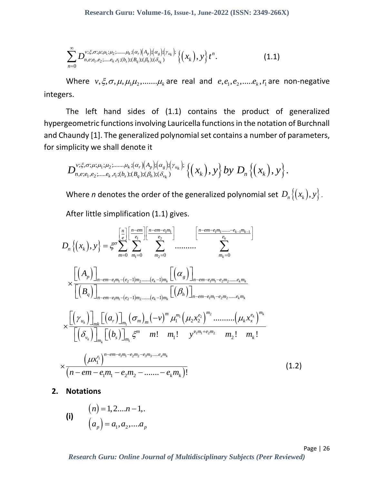$$
\sum_{n=0}^{\infty} D_{n,e,e_1,e_2;\dots,e_k,\eta_1;(b_s);(B_q);(\beta_h);(\delta_{v_k})}^{\nu_1;\xi,\sigma;\mu_2;\mu_3,\mu_4,\mu_5,\mu_6} \{(x_k),y\} t^n.
$$
\n(1.1)

Where  $v, \xi, \sigma, \mu, \mu_1\mu_2, \ldots, \mu_k$  are real and  $e, e_1, e_2, \ldots, e_k, r_1$  are non-negative integers.

The left hand sides of (1.1) contains the product of generalized hypergeometric functions involving Lauricella functions in the notation of Burchnall and Chaundy [1]. The generalized polynomial set contains a number of parameters,

for simplicity we shall denote it  
\n
$$
D_{n,e;e_1,e_2;....,e_k,r_1;(b_s);(B_q);(\beta_h);(\delta_{v_k})}^{v;\xi,\sigma;\mu;\mu_1;\mu_2;...., \mu_k;(\alpha_r)(A_p);(\alpha_g);(\gamma_{u_k})} \{(x_k), y\} by D_n \{(x_k), y\}.
$$

Where *n* denotes the order of the generalized polynomial set  $D_n\left\{(x_k),y\right\}$  .

$$
\sum_{n=0} D_{n,c,n_{1},j_{2},\ldots,j_{k},j_{k}}^{v_{i},\sigma_{i},\ldots,\sigma_{i},\sigma_{i},\sigma_{i}}(A_{n})[a_{e_{1}}]_{\tau_{k}}^{a_{1}}[A_{n}]_{\tau_{k}}^{a_{2}}[A_{n}]_{\tau_{k}}^{a_{3}}[A_{n}]_{\tau_{k}}^{a_{4}}[A_{n}]_{\tau_{k}}^{a_{5}}[A_{n}]_{\tau_{k}}^{a_{6}}[A_{n}]_{\tau_{k}}^{a_{7}}.
$$
\n(1.1)  
\nWhere  $v, \xi, \sigma, \mu, \mu_{1}\mu_{2}, \ldots, \mu_{k}$  are real and  $e, e_{1}, e_{2}, \ldots, e_{k}, r_{1}$  are non-n-  
\ngers.  
\nThe left hand sides of (1.1) contains the product of gene  
\nergeometric functions involving laureella functions in the notation of Bu  
\nChaundy [1]. The generalized polynomial set contains a number of para  
\nsimplicity we shall denote it  
\n
$$
D_{n,c,\sigma_{1},\sigma_{2},\ldots,\sigma_{k},\tau_{1}}(b_{n})(a_{n})[a_{n}](a_{n})[C_{n_{k}}]^{c_{k}}[A_{n}]_{\tau_{k}}[A_{n}]_{\tau_{k}}[A_{n}]_{\tau_{k}}[A_{n}]_{\tau_{k}}[A_{n}]_{\tau_{k}}[A_{n}]_{\tau_{k}}^{a_{6}}[A_{n}]_{\tau_{k}}^{a_{7}}[A_{n}]_{\tau_{k}}^{a_{8}}[A_{n}]_{\tau_{k}}^{a_{9}}[A_{n}]_{\tau_{k}}^{a_{1}}[A_{n}]_{\tau_{k}}^{a_{1}}[A_{n}]_{\tau_{k}}^{a_{1}}[A_{n}]_{\tau_{k}}^{a_{1}}[A_{n}]_{\tau_{k}}^{a_{1}}[A_{n}]_{\tau_{k}}^{a_{2}}[A_{n}]_{\tau_{k}}^{a_{3}}]
$$
\n
$$
D_{n}\{(x_{k}),y\} = \xi^{0}\sum_{m=0}^{\left[\frac{m}{2}\right] \left[\frac{m-mm}{2}\right]}_{m_{2}=0} \left[\frac{m-mm-nm-n-m-n-m-n-m-n}{m_{2}=m-n-m-n-m-n}
$$
\n
$$
\sum_{m=0}^{\left[\binom{n}{2}\right]_{m}}\left[\binom{n}{2}\right]_{
$$

 **2. Notations**

(i) 
$$
(n) = 1, 2, ..., n-1, ...
$$
  
\n $(a_p) = a_1, a_2, ..., a_p$ 

Page | 26<br>Research Guru: Online Journal of Multidisciplinary Subjects (Peer Reviewed)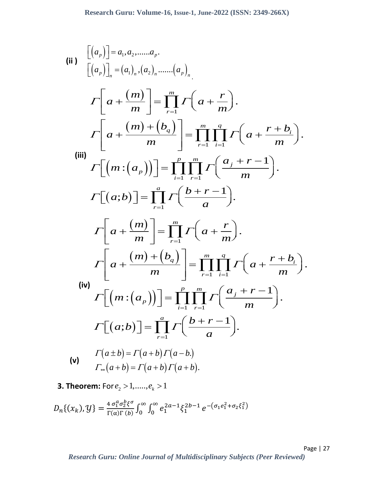(ii) 
$$
\begin{bmatrix}\n(a_p)\n\end{bmatrix} = a_1, a_2, \dots, a_p.
$$
\n
$$
\begin{aligned}\nT\left[a + \frac{(m)}{m}\right] &= (a_1)_n \cdot (a_2)_n \dots (a_p)_n \\
\Gamma\left[a + \frac{(m) + (b_q)}{m}\right] &= \prod_{r=1}^m \Gamma\left(a + \frac{r}{m}\right).\n\end{aligned}
$$
\n(iii) 
$$
\Gamma\left[\left(m : (a_p)\right)\right] = \prod_{i=1}^p \prod_{r=1}^m \Gamma\left(a + \frac{r+b_i}{m}\right).
$$
\n
$$
\Gamma\left[\left(m : (a_p)\right)\right] = \prod_{i=1}^p \prod_{r=1}^m \Gamma\left(\frac{a_j + r - 1}{m}\right).
$$
\n
$$
\Gamma\left[a + \frac{(m)}{m}\right] = \prod_{r=1}^m \Gamma\left(a + \frac{r}{m}\right).
$$
\n
$$
\Gamma\left[a + \frac{(m) + (b_q)}{m}\right] = \prod_{r=1}^m \prod_{i=1}^q \Gamma\left(a + \frac{r+b_i}{m}\right).
$$
\n(iv) 
$$
\Gamma\left[\left(m : (a_p)\right)\right] = \prod_{i=1}^p \prod_{r=1}^m \Gamma\left(\frac{a_j + r - 1}{m}\right).
$$
\n
$$
\Gamma\left[\left(n : (a_p)\right)\right] = \prod_{r=1}^p \Gamma\left(\frac{b + r - 1}{a}\right).
$$
\n
$$
\Gamma\left[a \pm b\right] = \Gamma(a + b) \Gamma(a - b).
$$
\n(v) 
$$
\Gamma_{n}(a + b) = \Gamma(a + b) \Gamma(a + b).
$$

**3. Theorem:**  $\textsf{For } e_2 > 1, \ldots, e_k > 1$ 

$$
D_n\{(x_k), y\} = \frac{4 \sigma_1^a \sigma_2^b \xi^{\sigma}}{\Gamma(\alpha)\Gamma(b)} \int_0^{\infty} \int_0^{\infty} e_1^{2a-1} \xi_1^{2b-1} e^{-\left(\sigma_1 e_1^2 + \sigma_2 \xi_1^2\right)}
$$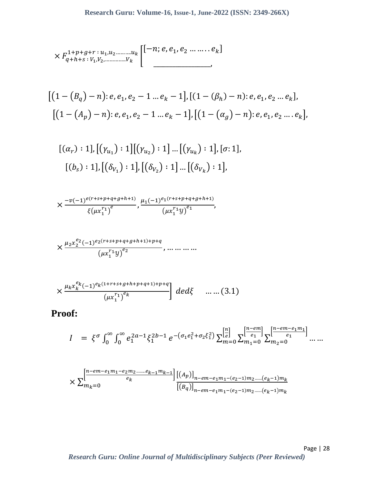$$
\times F_{q+h+s}:V_1,V_2,\ldots\ldots,V_k
$$
\n
$$
\begin{bmatrix}\n[-n; e, e_1, e_2, \ldots, e_k] \\
[-1, e_1, e_2, \ldots, e_k]\n\end{bmatrix}
$$

$$
[(1 - (B_q) - n): e, e_1, e_2 - 1 \dots e_k - 1], [(1 - (\beta_h) - n): e, e_1, e_2 \dots e_k],
$$
  

$$
[(1 - (A_p) - n): e, e_1, e_2 - 1 \dots e_k - 1], [(1 - (\alpha_g) - n): e, e_1, e_2 \dots e_k],
$$

$$
[(\alpha_r) : 1], [(\gamma_{u_1}) : 1][(\gamma_{u_2}) : 1] \dots [(\gamma_{u_k}) : 1], [\sigma: 1],
$$

$$
[(b_s) : 1], [(\delta_{V_1}) : 1], [(\delta_{V_2}) : 1] \dots [(\delta_{V_k}) : 1],
$$

$$
\times \frac{-\nu (-1)^{e(r+s+p+q+g+h+1)}}{\xi(\mu x_1^{r_1})^e}, \frac{\mu_1(-1)^{e_1(r+s+p+q+g+h+1)}}{(\mu x_1^{r_1}y)^{e_1}},
$$

$$
\times \frac{\mu_2 x_2^{e_2 (-1)^{e_2(r+s+p+q+g+h+1)+p+q}}}{(\mu x_1^{r_1} y)^{e_2}}, \dots \dots \dots \dots
$$

$$
\times \frac{\mu_k x_k^{e_k} (-1)^{e_k (1+r+s+g+h+p+q+1)+p+q}}{(\mu x_1^{r_1})^{e_k}} \bigg] \, de \, d\xi \quad \dots \dots (3.1)
$$

 **Proof:**

$$
I = \xi^{\sigma} \int_0^{\infty} \int_0^{\infty} e_1^{2a-1} \xi_1^{2b-1} e^{- (\sigma_1 e_1^2 + \sigma_2 \xi_1^2)} \sum_{m=0}^{\left[\frac{n}{e}\right]} \sum_{m_1=0}^{\left[\frac{n-em}{e_1}\right]} \sum_{m_2=0}^{\left[\frac{n-em}{e_1}m_1\right]} \dots
$$

$$
\times \sum_{m_k=0}^{\left[\frac{n-em-e_1m_1-e_2m_2 \dots m}{e_k}\right]} \frac{[(A_p)]_{n-em-e_1m_1-(e_2-1)m_2 \dots m}(e_k-1)m_k}}{[(B_q)]_{n-em-e_1m_1-(e_2-1)m_2 \dots m}(e_k-1)m_k}
$$

Page | 28 *Research Guru: Online Journal of Multidisciplinary Subjects (Peer Reviewed)*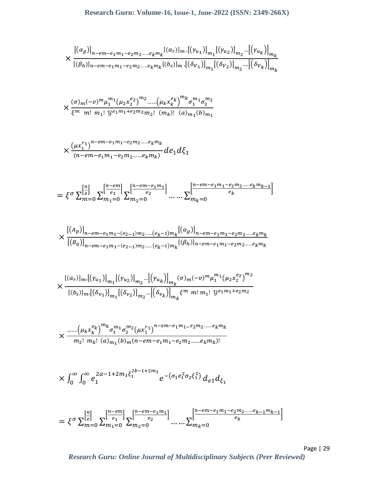$$
\times \frac{\left[ (\alpha_g) \right]_{n-em-e_1m_1-e_2m_2.....e_km_k} [(a_r)]_{m} \left[ (\gamma_{u_1}) \right]_{m_1} [( \gamma_{u_2}) ]_{m_2} \cdots \left[ (\gamma_{u_k}) \right]_{m_k}}{[(\beta_h)]_{n-em-e_1m_1-e_2m_2.....e_km_k} [(b_s)]_{m} \left[ (\delta_{V_1}) \right]_{m_1} [( \delta_{V_2}) ]_{m_2} \cdots \left[ (\delta_{V_k}) \right]_{m_k}}
$$

$$
\times \frac{(\sigma)_{m}(-v)^{m} \mu_{1}^{m_{1}}(\mu_{2} \chi_{2}^{e_{2}})^{m_{2}} \dots (\mu_{k} \chi_{k}^{e_{k}})^{m_{k}} \sigma_{1}^{m_{1}} \sigma_{2}^{m_{2}}}{\xi^{m} m! m_{1}! y^{e_{1}m_{1}+e_{2}m_{2}m_{2}!} (m_{k})! (a)_{m_{1}}(b)_{m_{1}}}
$$

$$
\times \frac{\left(\mu x_1^{r_1}\right)^{n-em-e_1m_1-e_2m_2\ldots.e_k m_k}}{\left(n-em-e_1m_1-e_2m_2\ldots.e_km_k\right)}de_1d\xi_1
$$

$$
= \xi^{\sigma} \sum_{m=0}^{\left[\frac{n}{e}\right]} \sum_{m_1=0}^{\left[\frac{n-em}{e_1}\right]} \sum_{m_2=0}^{\left[\frac{n-em-e_1m_1}{e_2}\right]} \dots \dots \sum_{m_k=0}^{\left[\frac{n-em-e_1m_1-e_2m_2\dots\dots e_k m_{k-1}}{e_k}\right]}
$$

$$
\times \frac{\left[(A_p)\right]_{n-em-e_1m_1-(e_{2-1})m_2.....(e_k-1)m_k} \left[(\alpha_g)\right]_{n-em-e_1m_1-e_2m_2.....e_km_k}}{\left[(B_q)\right]_{n-em-e_1m_1-(e_{2-1})m_2.....(e_k-1)m_k} \left[(\beta_h)\right]_{n-em-e_1m_1-e_2m_2.....e_km_k}}
$$

$$
\times \frac{[(a_r)]_{m}[(\gamma_{u_1})]_{m_1}[(\gamma_{u_2})]_{m_2}...[(\gamma_{u_k})]_{m_k}(\sigma)_m (-v)^m \mu_1^{m_1}(\mu_2 x_2^{e_2})^{m_2}}{[(b_s)]_{m}[(\delta_{v_1})]_{m_1}[(\delta_{v_2})]_{m_2}...[(\delta_{v_k})]_{m_k} \xi^m m! m_1! y^{e_1 m_1 + e_2 m_2}}
$$

$$
\times \frac{\dots \dots \left(\mu_k x_k^{e_k}\right)^{m_k} \sigma_1^{m_1} \sigma_2^{m_2} \left(\mu x_1^{r_1}\right)^{n-em - e_1 m_1 - e_2 m_2 \dots \dots e_k m_k}}{m_2! \ m_k! \ (a)_{m_1}(b)_m (n-em - e_1 m_1 - e_2 m_2 \dots \dots e_k m_k)!}
$$

$$
\times \int_0^\infty \int_0^\infty e_1^{2a-1+2m_1\xi_1^{2b-1+2m_1}} e^{-\left(\sigma_1 e_1^2 \sigma_2 \xi_1^2\right)} d_{e1} d_{\xi_1}
$$

$$
= \xi^{\sigma} \sum_{m=0}^{\left[\frac{n}{e}\right]} \sum_{m_1=0}^{\left[\frac{n-em}{e_1}\right]} \sum_{m_2=0}^{\left[\frac{n-em-e_1m_1}{e_2}\right]} \dots \dots \sum_{m_k=0}^{\left[\frac{n-em-e_1m_1-e_2m_2\dots m e_{k-1}m_{k-1}}{e_k}\right]}
$$

Page | 29 *Research Guru: Online Journal of Multidisciplinary Subjects (Peer Reviewed)*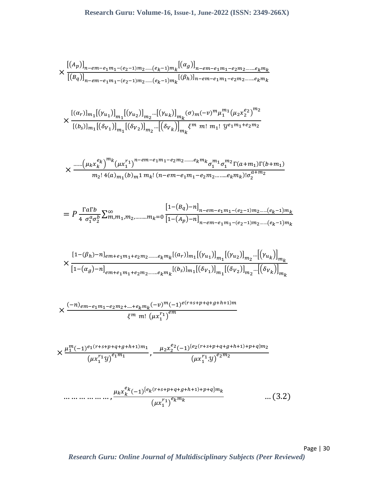$$
\times \frac{\left[ (A_p) \right]_{n-em-e_1m_1-(e_2-1)m_2.....(e_k-1)m_k} \left[ (\alpha_g) \right]_{n-em-e_1m_1-e_2m_2.....e_km_k}}{\left[ (B_q) \right]_{n-em-e_1m_1-(e_2-1)m_2.....(e_k-1)m_k} \left[ (\beta_h) \right]_{n-em-e_1m_1-e_2m_2.....e_km_k}}
$$

$$
\times \frac{{[(\alpha_r)]_{m_1}[(\gamma_{u_1})]}_{m_1}[(\gamma_{u_2})]}{[(b_s)]_{m_1}[(\delta_{V_1})]}_{m_1} \dots [(\delta_{V_k})]_{m_k} (\sigma)_m (-v)^m \mu_1^{m_1} (\mu_2 x_2^{e_2})^{m_2}
$$
  

$$
[(b_s)]_{m_1}[(\delta_{V_1})]_{m_1}[(\delta_{V_2})]_{m_2} \dots [(\delta_{V_k})]_{m_k} \xi^m \ m! \ m_1! \ y e_1 m_1 + e_2 m_2}
$$

$$
\times \frac{\dots (\mu_k x_k^{e_k})^{m_k} (\mu x_1^{r_1})^{n-em - e_1 m_1 - e_2 m_2 \dots m e_k m_k} \sigma_1^{m_1} \sigma_1^{m_2} \Gamma(a + m_1) \Gamma(b + m_1)}{m_2! 4(a)_{m_1}(b)_m 1 m_k! (n-em - e_1 m_1 - e_2 m_2 \dots m e_k m_k)! \sigma_2^{a + m_2}}
$$

$$
= P \frac{\Gamma a \Gamma b}{4 \sigma_1^a \sigma_2^b} \sum_{m,m_1,m_2,\dots,m_k=0}^{\infty} \frac{\left[1 - (B_q) - n\right]_{n - em - e_1 m_1 - (e_2 - 1)m_2 \dots m} (e_k - 1)m_k}{\left[1 - (A_p) - n\right]_{n - em - e_1 m_1 - (e_2 - 1)m_2 \dots m} (e_k - 1)m_k}
$$

$$
\times \frac{[1-(\beta_h)-n]_{em+e_1m_1+e_2m_2\ldots\ldots\ldots e_k m_k}[(a_r)]_{m_1}[(\gamma_{u_1})]_{m_1}[(\gamma_{u_2})]_{m_2} \ldots[(\gamma_{u_k})]_{m_k}}{[1-(\alpha_g)-n]_{em+e_1m_1+e_2m_2\ldots\ldots\ldots e_k m_k}[(b_s)]_{m_1}[(\delta_{V_1})]_{m_1}[(\delta_{V_2})]_{m_2} \ldots[(\delta_{V_k})]_{m_k}}
$$

$$
\times \frac{(-n)_{em-e_1m_1-e_2m_2+\dots+e_km_k}(-v)^m(-1)^{e(r+s+p+q+g+h+1)m}}{\xi^m m! \ (\mu x_1^{r_1})^{em}}
$$

$$
\times \frac{\mu_1^m (-1)^{e_1(r+s+p+q+g+h+1)m_1}}{(\mu x_1^{r_1}y)^{e_1m_1}}, \frac{\mu_2 x_2^{e_2}(-1)^{e_2(r+s+p+q+g+h+1)+p+q)m_2}}{(\mu x_1^{r_1}y)^{e_2m_2}}
$$

 … … … … … … , (−1) { (+++++ℎ+1)++} (<sup>1</sup> 1 ) … (3.2)

Page | 30 *Research Guru: Online Journal of Multidisciplinary Subjects (Peer Reviewed)*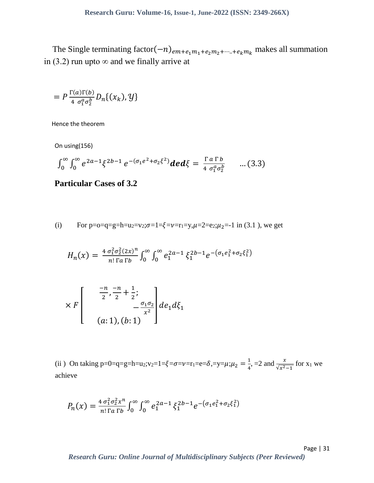The Single terminating factor( $-n)_{em+e_1m_1+e_2m_2+\cdots+e_km_k}$  makes all summation in (3.2) run upto  $\infty$  and we finally arrive at

$$
= P \frac{\Gamma(a)\Gamma(b)}{4 \sigma_1^a \sigma_2^b} D_n\{(x_k), y\}
$$

Hence the theorem

On using(156)

$$
\int_0^\infty \int_0^\infty e^{2a-1} \xi^{2b-1} e^{-(\sigma_1 e^2 + \sigma_2 \xi^2)} \, d\mathbf{e} \, d\xi = \frac{\Gamma \, a \, \Gamma \, b}{4 \, \sigma_1^a \sigma_2^b} \qquad \dots (3.3)
$$

## **Particular Cases of 3.2**

(i) For p=0=q=g=h=u<sub>2</sub>=v<sub>2</sub>; 
$$
\sigma=1=\xi=\nu=r_1=y
$$
,  $\mu=2=e_2$ ;  $\mu_2=-1$  in (3.1), we get

$$
H_n(x) = \frac{4 \sigma_1^2 \sigma_2^2 (2x)^n}{n! \Gamma a \Gamma b} \int_0^\infty \int_0^\infty e_1^{2a-1} \xi_1^{2b-1} e^{- (\sigma_1 e_1^2 + \sigma_2 \xi_1^2)}
$$

$$
\times F\left[\begin{array}{c} \frac{-n}{2}, \frac{-n}{2} + \frac{1}{2}; \\ -\frac{\sigma_1 \sigma_2}{x^2} \end{array}\right]de_1 d\xi_1 d\xi_1
$$
  
(a: 1), (b: 1)

(ii) On taking p=0=q=g=h=u<sub>2</sub>; v<sub>2</sub>=1= $\xi$ = $\sigma$ =v=r<sub>1</sub>=e= $\delta$ ,=y= $\mu$ ;  $\mu_2 = \frac{1}{4}$  $\frac{1}{4}$ , =2 and  $\frac{x}{\sqrt{x^2-1}}$  for x<sub>1</sub> we achieve

$$
P_n(x) = \frac{4 \sigma_1^2 \sigma_2^2 x^n}{n! \Gamma a \Gamma b} \int_0^\infty \int_0^\infty e_1^{2a-1} \xi_1^{2b-1} e^{-\left(\sigma_1 e_1^2 + \sigma_2 \xi_1^2\right)}
$$

Page | 31 *Research Guru: Online Journal of Multidisciplinary Subjects (Peer Reviewed)*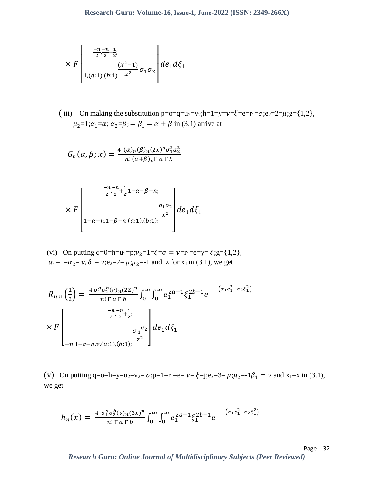$$
\times F\left[\begin{array}{c}\frac{-n-n}{2},\frac{1}{2}\\\frac{(x^{2}-1)}{x^{2}}\sigma_{1}\sigma_{2}\end{array}\right]de_{1,(a:1),(b:1)}x^{2} \sigma_{1}\sigma_{2}
$$

(iii) On making the substitution  $p = o = q = u_2 = v_2; h = 1 = v = \xi = e = r_1 = \sigma; e_2 = 2 = \mu; g = \{1,2\},\$  $\mu_2=1;\alpha_1=\alpha;\alpha_2=\beta;$  =  $\beta_1=\alpha+\beta$  in (3.1) arrive at

$$
G_n(\alpha, \beta; x) = \frac{4(\alpha)_n(\beta)_n(2x)^n \sigma_1^2 a_2^2}{n! (\alpha + \beta)_n \Gamma a \Gamma b}
$$

$$
\times F\left[\begin{array}{c}\frac{-n-n}{2},\frac{1}{2}+1-\alpha-\beta-n;\\ \frac{\sigma_{1}\sigma_{2}}{x^{2}}\end{array}\right]de_{1-\alpha-n,1-\beta-n,(a:1),(b:1);}^{\alpha n\sigma_{2}}de_{1}d\xi_{1}
$$

(vi) On putting q=0=h=u<sub>2</sub>=p; $v_2$ =1= $\xi$ = $\sigma$  =  $v$ =r<sub>1</sub>=e=y= $\xi$ ;g={1,2},  $\alpha_1=1=\alpha_2=\nu, \delta_1=\nu; e_2=2=\mu; \mu_2=-1$  and z for  $x_1$  in (3.1), we get

$$
R_{n,v} \left(\frac{1}{2}\right) = \frac{4 \sigma_1^a \sigma_2^b(v)_n (2Z)^n}{n! \Gamma a \Gamma b} \int_0^\infty \int_0^\infty e_1^{2a-1} \xi_1^{2b-1} e^{-\left(\sigma_1 e_1^2 + \sigma_2 \xi_1^2\right)}
$$

$$
\times F\left[\frac{\frac{-n-n}{2} + \frac{1}{2} \xi}{-n, 1-v-n.v, (a:1), (b:1); \frac{\sigma_1}{z^2}}\right] de_1 d\xi_1
$$

(v) On putting q=o=h=y=u<sub>2</sub>=v<sub>2</sub>=  $\sigma$ ;p=1=r<sub>1</sub>=e=  $\nu = \xi$ =j;e<sub>2</sub>=3=  $\mu$ ; $\mu$ <sub>2</sub>=-1 $\beta$ <sub>1</sub> =  $\nu$  and x<sub>1</sub>=x in (3.1), we get

$$
h_n(x) = \frac{4 \sigma_1^a \sigma_2^b(v)_n(3x)^n}{n! \Gamma a \Gamma b} \int_0^\infty \int_0^\infty e_1^{2a-1} \xi_1^{2b-1} e^{-\left(\sigma_1 e_1^2 + \sigma_2 \xi_1^2\right)}
$$

Page | 32 *Research Guru: Online Journal of Multidisciplinary Subjects (Peer Reviewed)*